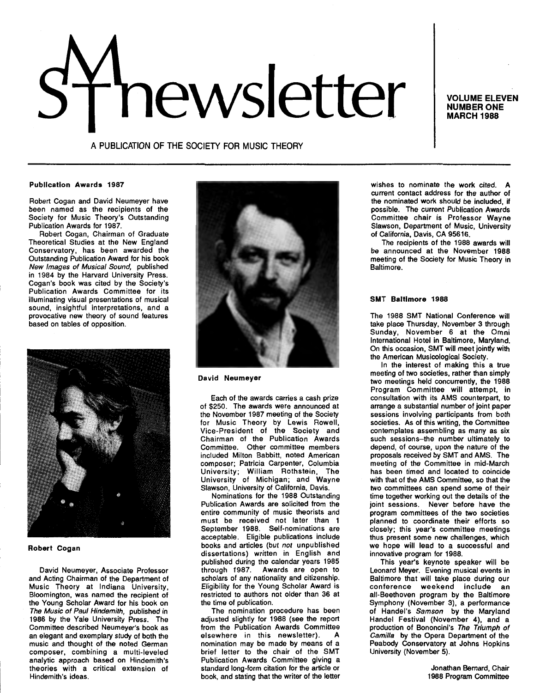# hewsletter Induced The MONDEL

NUMBER ONE MARCH 1988

A PUBLICATION OF THE SOCIETY FOR MUSIC THEORY

#### Publication Awards 1987

Robert Cogan and David Neumeyer have been named as the recipients of the Society for Music Theory's Outstanding Publication Awards for 1987.

Robert Cogan, Chairman of Graduate Theoretical Studies at the New England Conservatory, has been awarded the Outstanding Publication Award for his book New Images of Musical Sound, published in 1984 by the Harvard University Press. Cogan's book was cited by the Society's Publication Awards Committee for its illuminating visual presentations of musical sound, insightful interpretations, and a provocative new theory of sound features based on tables of opposition.



# Robert Cogan

David Neumeyer, Associate Professor and Acting Chairman of the Department of Music Theory at Indiana University, Bloomington, was named the recipient of the Young Scholar Award for his book on The Music of Paul Hindemith, published in 1986 by the Yale University Press. The Committee described Neumeyer's book as an elegant and exemplary study of both the music and thought of the noted German composer, combining a multi-leveled analytic approach based on Hindemith's theories with a critical extension of Hindemith's ideas.



# David Neumeyer

Each of the awards carries a cash prize of \$250. The awards were announced at the November 1987 meeting of the Society for Music Theory by Lewis Rowell, Vice-President of the Society and Chairman of the Publication Awards Committee. Other committee members included Milton Babbitt, noted American composer; Patricia Carpenter, Columbia University; William Rothstein, The University of Michigan; and Wayne Slawson, University of California, Davis.

Nominations for the 1988 Outstanding Publication Awards are solicited from the entire community of music theorists and must be received not later than 1 September 1988. Self-nominations are acceptable. Eligible publications include books and articles (but not unpublished dissertations) written in English and published during the calendar years 1985 through 1987. Awards are open to scholars of any nationality and citizenship. Eligibility for the Young Scholar Award is restricted to authors not older than 36 at the time of publication.

The nomination procedure has been adjusted slightly for 1988 (see the report from the Publication Awards Committee elsewhere in this newsletter). nomination may be made by means of a brief letter to the chair of the SMT Publication Awards Committee giving a standard long-form citation for the article or book, and stating that the writer of the letter wishes to nominate the work cited. A current contact address for the author of the nominated work should be included, if possible. The current Publication Awards Committee chair is Professor Wayne Slawson, Department of Music, University of California, Davis, CA 95616.

The recipients of the 1988 awards will be announced at the November 1988 meeting of the Society for Music Theory in Baltimore.

# SMT Baltimore 1988

The 1988 SMT National Conference will take place Thursday, November 3 through Sunday, November 6 at the Omni International Hotel in Baltimore, Maryland. On this occasion, SMT will meet jointly with the American Musicological Society.

In the interest of making this a true meeting of two societies, rather than simply two meetings held concurrently, the 1988 Program Committee will attempt, in consultation with its AMS counterpart, to arrange a substantial number of joint paper sessions involving participants from both societies. As of this writing, the Committee contemplates assembling as many as six such sessions-the number ultimately to depend, of course, upon the nature of the proposals received by SMT and AMS. The meeting of the Committee in mid-March has been timed and located to coincide with that of the AMS Committee, so that the two committees can spend some of their time together working out the details of the joint sessions. Never before have the program committees of the two societies planned to coordinate their efforts so closely; this year's committee meetings thus present some new challenges, which we hope will lead to a successful and innovative program for 1988.

This year's keynote speaker will be Leonard Meyer. Evening musical events in Baltimore that will take place during our conference weekend include an all-Beethoven program by the Baltimore Symphony (November 3), a performance of Handel's Samson by the Maryland Handel Festival (November 4), and a production of Bononcini's The Triumph of Camilla by the Opera Department of the Peabody Conservatory at Johns Hopkins University (November 5).

> Jonathan Bernard, Chair 1988 Program Committee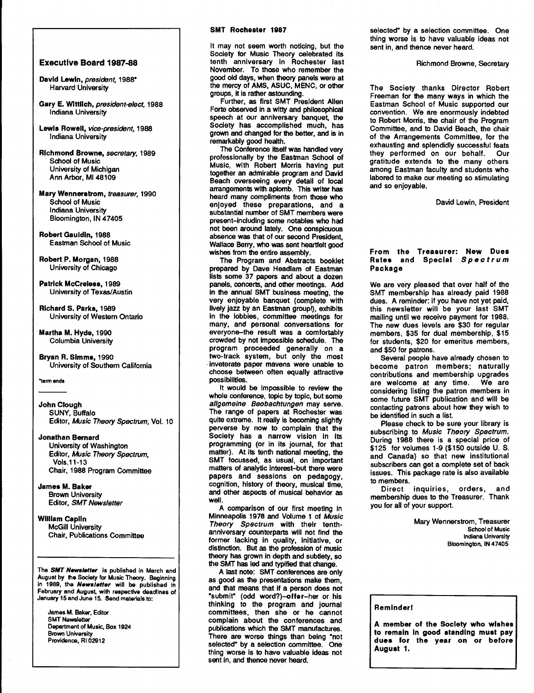#### SMT Rochester 1987

# Executive Board 1987-88

- David Lewin, president, 1988\* Harvard University
- Gary E. Wlttllch, president-elect, 1988 Indiana University
- Lewis Rowell, vice-president, 1988 Indiana University
- Richmond Browne, secretary, 1989 School of Music University of Michigan Ann Arbor, Ml48109
- Mary Wennerstrom, treasurer, 1990 School of Music Indiana University Bloomington, IN 47405
- Robert Gauldin, 1988 Eastman School of Music

Robert P. Morgan, 1988 University of Chicago

- Patrick McCreless, 1989 University of Texas/Austin
- Richard S. Parks, 1989 University of Western Ontario

Martha M. Hyde, 1990 Columbia University

Bryan R. Simms, 1990 University of Southern California

\*term ends

John Clough SUNY, Buffalo Editor, Music Theory Spectrum, Vol. 10

Jonathan Bernard

University of Washington Editor, Music Theory Spectrum, Vols.11-13 Chair, 1988 Program Committee

James M. Baker Brown University Editor, SMT Newsletter

# William Caplin McGill University Chair, Publications Committee

The SMT Newsletter. is published in March and August by the Society for Music Theory. Beginning in 1989, the Newsletter will be published in February and August, with respective deadlines of January 15 and June 15. Send materials to:

James M. Baker, Editor SMT Newsletter Department of Music, Box 1924 Brown University Providenoe, Rl 02912

It may not seem worth noticing, but the Society for Music Theory celebrated its tenth anniversary in Rochester last November. To those who remember the good old days, when theory panels were at the mercy of AMS, ASUC, MENC, or other groups, it is rather astounding.

Further, as first SMT President Allen Forte observed in a witty and philosophical speech at our anniversary banquet, the Society has accomplished much, has grown and changed for the better, and is in remarkably good health.

The Conference itself was handled very professionally by the Eastman School of Music, with Robert Morris having put together an admirable program and David Beach overseeing every detail of local arrangements with aplomb. This writer has heard many compliments from those who enjoyed these preparations, and a substantial number of SMT members were present-including some notables who had not been around lately. One conspicuous absence was that of our second President, Wallace Berry, who was sent heartfelt good wishes from the entire assembly.

The Program and Abstracts booklet prepared by Dave Headlam of Eastman lists some 37 papers and about a dozen panels, concerts, and other meetings. Add in the annual SMT business meeting, the very enjoyable banquet (complete with lively jazz by an Eastman group!), exhibits in the lobbies, committee meetings for many, and personal conversations for everyone-the result was a comfortably crowded by not impossible schedule. The program proceeded generally on a two-track system, but only the most · inveterate paper mavens were unable to choose between often equally attractive possibilities.

It would be impossible to review the whole conference, topic by topic, but some allgemeine Beobachtungen may serve. The range of papers at Rochester was quite extreme. It really is becoming slightly perverse by now to complain that the Society has a narrow vision in its programming (or in its journal, for that matter). At its tenth national meeting, the SMT focussed, as usual, on important matters of analytic interest-but there were papers and sessions on pedagogy, cognition, history of theory, musical time, and other aspects of musical behavior as well.

A comparison of our first meeting in Minneapolis 1978 and Volume 1 of Music Theory Spectrum with their tenthanniversary counterparts will not find the former lacking in quality, Initiative, or distinction. But as the profession of music theory has grown in depth and subtlety, so the SMT has led and typified that change.

A last note: SMT conferences are only as good as the presentations make them, and that means that if a person does not •submit" (odd word?)-offer-her or his thinking to the program and journal committees, then she or he cannot complain about the conferences and publications which the SMT manufactures. There are worse things than being "not selected" by a selection committee. One thing worse is to have valuable ideas not sent in, and thence never heard.

selected" by a selection committee. One thing worse is to have valuable ideas not sent in, and thence never heard.

Richmond Browne, Secretary

The Society thanks Director Robert Freeman for the many ways in which the Eastman School of Music supported our convention. We are enormously indebted to Robert Morris, the chair of the Program Committee, and to David Beach, the chair of the Arrangements Committee, for the exhausting and splendidly successful feats<br>they performed on our behalf. Our they performed on our behalf. gratitude extends to the many others among Eastman faculty and students who labored to make our meeting so stimulating and so enjoyable.

David Lewin, President

# From the Treasurer: New Dues Rates and Special Spectrum Package

We are very pleased that over half of the SMT membership has already paid 1988 dues. A reminder: if you have not yet paid, this newsletter will be your last SMT mailing until we receive payment for 1988. The new dues levels are \$30 for regular members, \$35 for dual membership, \$15 for students, \$20 for emeritus members, and \$50 for patrons.

Several people have already chosen to become patron members; naturally contributions and membership upgrades are welcome at any time. We are considering listing the patron members in some future SMT publication and will be contacting patrons about how they wish to be identified in such a list.

Please check to be sure your library is subscribing to Music Theory Spectrum. During 1988 there is a special price of \$125 for volumes 1-9 (\$150 outside U. S. and Canada) so that new institutional subscribers can get a complete set of back issues. This package rate is also available to members.

Direct inquiries, orders, and membership dues to the Treasurer. Thank you for all of your support.

> Mary Wennerstrom, Treasurer School of Music Indiana University Bloomington, IN 47405

#### Reminder!

A member of the Society who wishes to remain In good standing must pay dues for the year on or before August 1.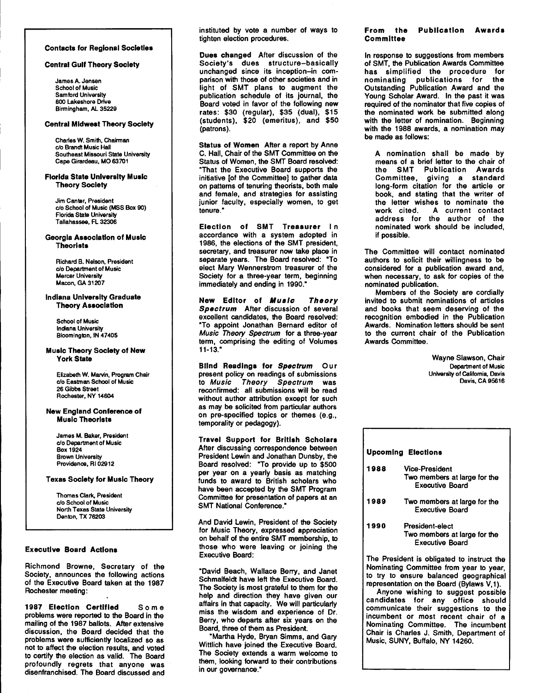#### Contacts for Regional Societies

#### Central Gulf Theory Society

James A. Jensen School of Music Samford University 800 Lakeshore Drive Birmingham, AL 35229

#### Central Midwest Theory Society

Charles W. Smith, Chairman c/o Brandt Music Hall Southeast Missouri State University Cape Girardeau, MO 63701

#### Florida State University Music Theory Society

Jim Canter, President c/o School of Music (MSS Box 90) **Florida State University** Tallahassea, FL 32306

#### Georgia Association of Music **Theorists**

Richard B. Nelson, President c/o Department of Music Mercer University Macon, GA 31207

#### Indiana University Graduate Theory Association

School of Music Indiana University Bloomington, IN 47405

#### Music Theory Society of New York State

Elizabeth W. Marvin, Program Chair c/o Eastman School of Music 26 Gibbs Street Rochester, NY 14604

#### New England Conference of Music Theorists

James M. Baker, President c/o Department of Music Box 1924 Brown University Providence, Rl 02912

Texas Society for Music Theory

Thomas Clark, President c/o School of Music North Texas State University Denton, TX 76203

#### Executive Board Actions

Richmond Browne, Secretary of the Society, announces the following actions of the Executive Board taken at the 1987 Rochester meeting:

1987 Election Certified Some problems were reported to the Board in the mailing of the 1987 ballots. After extensive discussion, the Board decided that the problems were sufficiently localized so as not to affect the election results, and voted to certify the election as valid. The Board profoundly regrets that anyone was disenfranchised. The Board discussed and instituted by vote a number of ways to tighten election procedures.

Dues changed After discussion of the Society's dues structure-basically unchanged since its inception-in comparison with those of other societies and in light of SMT plans to augment the publication schedule of its journal, the Board voted in favor of the following new rates: \$30 (regular), \$35 (dual), \$15 (students), \$20 (emeritus), and \$50 (patrons).

Status of Women After a report by Anne C. Hall, Chair of the SMT Committee on the Status of Women, the SMT Board resolved: "That the Executive Board supports the initiative [of the Committee] to gather data on patterns of tenuring theorists, both male and female, and strategies for assisting junior faculty, especially women, to get tenure."

Election of SMT Treasurer In accordance with a system adopted in 1986, the elections of the SMT president, secretary, and treasurer now take place in separate years. The Board resolved: "To elect Mary Wennerstrom treasurer of the Society for a three-year term, beginning immediately and ending in 1990."

New Editor of Music Theory Spectrum After discussion of several excellent candidates, the Board resolved: "To appoint Jonathan Bernard editor of Music Theory Spectrum for a three-year term, comprising the editing of Volumes 11-13."

Blind Readings for Spectrum Our present policy on readings of submissions to Music Theory Spectrum was reconfirmed: all submissions will be read without author attribution except for such as may be solicited from particular authors on pre-specified topics or themes (e.g., temporality or pedagogy).

Travel Support for British Scholars After discussing correspondence between President Lewin and Jonathan Dunsby, the Board resolved: "To provide up to \$500 per year on a yearly basis as matching funds to award to British scholars who have been accepted by the SMT Program Committee for presentation of papers at an SMT National Conference."

And David Lewin, President of the Society for Music Theory, expressed appreciation on behalf of the entire SMT membership, to those who were leaving or joining the Executive Board:

"David Beach, Wallace Berry, and Janet Schmalfeldt have left the Executive Board. The Society is most grateful to them for the help and direction they have given our affairs in that capacity. We will particularly miss the wisdom and experience of Dr. Berry, who departs after six years on the Board, three of them as President.

"Martha Hyde, Bryan Simms, and Gary Wittlich have joined the Executive Board. The Society extends a warm welcome to them, looking forward to their contributions in our governance."

#### From the Publication Awards **Committee**

In response to suggestions from members of SMT, the Publication Awards Committee has simplified the procedure for nominating publications for the Outstanding Publication Award and the Young Scholar Award. In the past it was required of the nominator that five copies of the nominated work be submitted along with the letter of nomination. Beginning with the 1988 awards, a nomination may be made as follows:

A nomination shall be made by means of a brief letter to the chair of the SMT Publication Awards Committee, giving a standard long-form citation for the article or book, and stating that the writer of the letter wishes to nominate the work cited. A current contact address for the author of the nominated work should be included, if possible.

The Committee will contact nominated authors to solicit their willingness to be considered for a publication award and, when necessary, to ask for copies of the nominated publication.

Members of the Society are cordially invited to submit nominations of articles and books that seem deserving of the recognition embodied in the Publication Awards. Nomination letters should be sent to the current chair of the Publication Awards Committee.

> Wayne Slawson, Chair Department of Music University of California, Davis Davis, CA 95616

| <b>Upcoming Elections</b> |                                                                           |  |
|---------------------------|---------------------------------------------------------------------------|--|
| 1988                      | Vice-President<br>Two members at large for the<br><b>Executive Board</b>  |  |
| 1989                      | Two members at large for the<br>Executive Board                           |  |
| 1990                      | President-elect<br>Two members at large for the<br><b>Executive Board</b> |  |
|                           | The President is obligated to instruct the                                |  |

Nominating Committee from year to year, to try to ensure balanced geographical representation on the Board (Bylaws V, 1).

Anyone wishing to suggest possible candidates for any office should communicate their suggestions to the incumbent or most recent chair of a Nominating Committee. The incumbent Chair is Charles J. Smith, Department of Music, SUNY, Buffalo, NY 14260.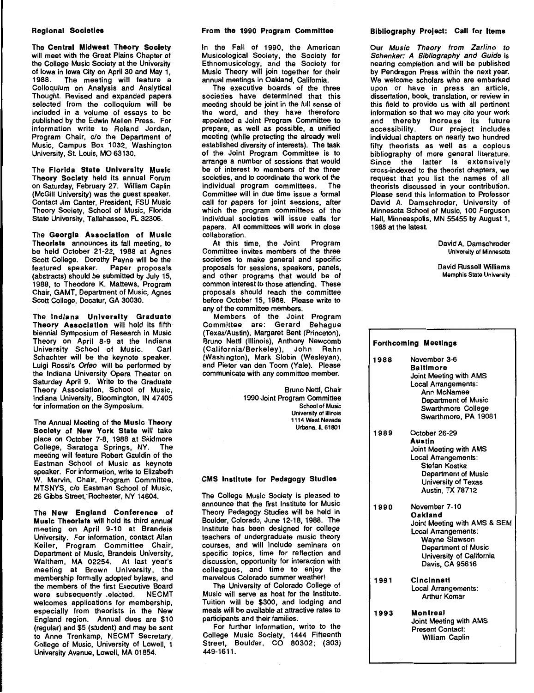# Regional Societies

The Central Midwest Theory Society will meet with the Great Plains Chapter of the College Music Society at the University of Iowa in Iowa City on April 30 and May 1, 1988. The meeting will feature a Colloquium on Analysis and Analytical Thought. Revised and expanded papers selected from the colloquium will be included in a volume of essays to be published by the Edwin Mellen Press. For information write to Roland Jordan, Program Chair, c/o the Department of Music, Campus Box 1032, Washington University, St. Louis, MO 63130.

The Florida State University Music Theory Society held its annual Forum on Saturday, February 27. William Caplin (McGill University) was the guest speaker. Contact Jim Canter, President, FSU Music Theory Society, School of Music, Florida State University, Tallahassee, FL 32306.

The Georgia Association of Music Theorists announces its fall meeting, to be held October 21-22, 1988 at Agnes Scott College. Dorothy Payne will be the featured speaker. Paper proposals (abstracts) should be submitted by July 15, 1988, to Theodore K. Mattews, Program Chair, GAMT, Department of Music, Agnes Scott College, Decatur, GA 30030.

The Indiana University Graduate Theory Association will hold its fifth biennial Symposium of Research in Music Theory on April 8-9 at the Indiana University School of Music. Carl Schachter will be the keynote speaker. Luigi Rossi's Orfeo will be performed by the Indiana University Opera Theater on Saturday April 9. Write to the Graduate Theory Association, School of Music, Indiana University, Bloomington, IN 47405 for information on the Symposium.

The Annual Meeting of the Music Theory Society of New York State will take place on October 7-8, 1988 at Skidmore College, Saratoga Springs, NY. The meeting will feature Robert Gauldin of the Eastman School of Music as keynote speaker. For information, write to Elizabeth W. Marvin, Chair, Program Committee, MTSNYS, c/o Eastman School of Music, 26 Gibbs Street, Rochester, NY 14604.

The New England Conference of Music Theorists will hold its third annual meeting on April 9-10 at Brandeis University. For information, contact Allan Keiler, Program Committee Chair, Department of Music, Brandeis University, Waltham, MA 02254. At last year's meeting at Brown University, the membership formally adopted bylaws, and the members of the first Executive Board were subsequently .elected. NECMT welcomes applications for membership, especially from theorists in the New England region. Annual dues are \$10 (regular) and \$5 (student) and may be sent to Anne Trenkamp, NECMT Secretary, College of Music, University of Lowell, 1 University Avenue, Lowell, MA 01854.

#### From the 1990 Program Committee

In the Fall of 1990, the American Musicological Society, the Society for Ethnomusicology, and the Society for Music Theory will join together for their annual meetings in Oakland, California.

The executive boards of the three societies have determined that this meeting should be joint in the full sense of the word, and they have therefore appointed a Joint Program Committee to prepare, as well as possible, a unified meeting (while protecting the already well established diversity of interests). The task of the Joint Program Committee is to arrange a number of sessions that would be of interest to members of the three societies, and to coordinate the work of the individual program committees. The Committee will in due time issue a formal call for papers for joint sessions, after which the program committees of the individual societies will issue calls for papers. All committees will work in close collaboration.

At this time, the Joint Program Committee invites members of the three societies to make general and specific proposals for sessions, speakers, panels, and other programs that would be of common interest to those attending. These proposals should reach the committee before October 15, 1988. Please write to any of the committee members.

Members of the Joint Program Committee are: Gerard Behague (Texas/Austin), Margaret Bent (Princeton), Bruno Nettl (Illinois), Anthony Newcomb (California/Berkeley), John Rahn (Washington), Mark Slobin (Wesleyan), and Pieter van den Toorn (Yale). Please communicate with any committee member.

> Bruno Nettl, Chair 1990 Joint Program Committee School of Music University of Illinois 1114 West Nevada Urbana, IL 61801

#### CMS Institute for Pedagogy Studies

The College Music Society is pleased to announce that the first Institute for Music Theory Pedagogy Studies will be held in Boulder, Colorado, June 12-18, 1988. The Institute has been designed for college teachers of undergraduate music theory courses, and will include seminars on specific topics, time for reflection and discussion, opportunity for interaction with colleagues, and time to enjoy the marvelous Colorado summer weather!

The University of Colorado College of Music will serve as host for the Institute. Tuition will be \$300, and lodging and meals will be available at attractive rates to participants and their families.

For further information, write to the College Music Society, 1444 Fifteenth Street, Boulder, CO 80302; (303) 449-1611.

#### Bibliography Project: Call for Items

Our Music Theory from Zarlino to Schenker: A Bibliography and Guide is nearing completion and will be published by Pendragon Press within the next year. We welcome scholars who are embarked upon or have in press an article, dissertation, book, translation, or review in this field to provide us with all pertinent information so that we may cite your work and thereby increase its future accessibility. Our project includes individual chapters on nearly two hundred fifty theorists as well as a copious bibliography of more general literature. Since the latter is extensively cross-indexed to the theorist chapters, we request that you list the names of all theorists discussed in your contribution. Please send this information to Professor David A. Damschroder, University of Minnesota School of Music, 100 Ferguson Hall, Minneaspolis, MN 55455 by August 1, 1988 at the latest.

> David A. Damschroder University of Minnesota

> David Russell Williams Memphis State University

| <b>Forthcoming Meetings</b> |                                                                                                                                                                               |
|-----------------------------|-------------------------------------------------------------------------------------------------------------------------------------------------------------------------------|
| 1988                        | November 3-6<br><b>Baltimore</b><br>Joint Meeting with AMS<br>Local Arrangements:<br>Ann McNamee<br>Department of Music<br><b>Swarthmore College</b><br>Swarthmore, PA 19081  |
| 1989                        | October 26-29<br>Austin<br>Joint Meeting with AMS<br>Local Arrangements:<br>Stefan Kostka<br><b>Department of Music</b><br>University of Texas<br><b>Austin, TX 78712</b>     |
| 1990                        | November 7-10<br>Oakland<br>Joint Meeting with AMS & SEM<br>Local Arrangements:<br>Wayne Slawson<br><b>Department of Music</b><br>University of California<br>Davis, CA 95616 |
| 1991                        | Cincinnati<br>Local Arrangements:<br><b>Arthur Komar</b>                                                                                                                      |
| 1993                        | Montreal<br>Joint Meeting with AMS<br><b>Present Contact:</b><br>William Caplin                                                                                               |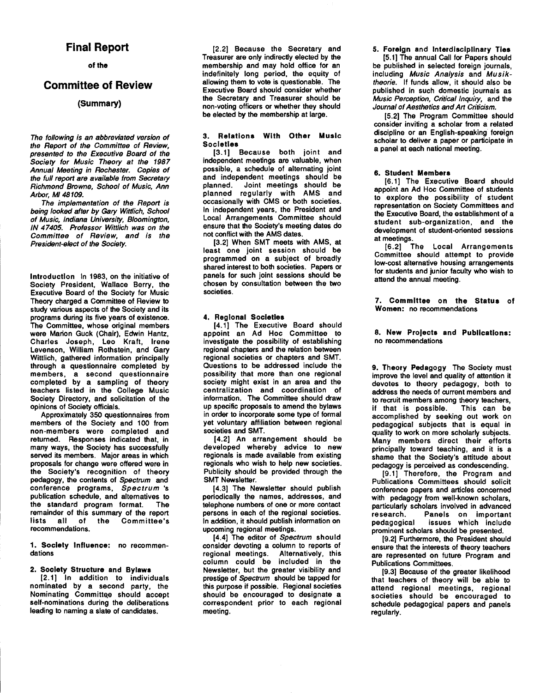# **Final Report**

# of the

# **Committee of Review**

# (Summary)

The following is an abbreviated version of the Report of the Committee of Review, presented to the Executive Board of the Society for Music Theory at the 1987 Annual Meeting in Rochester. Copies of the full report are available from Secretary Richmond Browne, School of Music, Ann Arbor, Ml48109.

The implementation of the Report is being looked after by Gary Wittlich, School of Music, Indiana University, Bloomington, IN 47405. Professor Wittlich was on the Committee of Review, and is the President-elect of the Society.

Introduction In 1983, on the initiative of Society President, Wallace Berry, the Executive Board of the Society for Music Theory charged a Committee of Review to study various aspects of the Society and its programs during its five years of existence. The Committee, whose original members were Marion Guck (Chair), Edwin Hantz, Charles Joseph, Leo Kraft, Irene Levenson, William Rothstein, and Gary Wittlich, gathered information principally through a questionnaire completed by members, a second questionnaire completed by a sampling of theory teachers listed in the College Music Society Directory, and solicitation of the opinions of Society officials.

Approximately 350 questionnaires from members of the Society and 100 from non-members were completed and returned. Responses indicated that, in many ways, the Society has successfully served its members. Major areas in which proposals for change were offered were in the Society's recognition of theory pedagogy, the contents of Spectrum and conference programs, Spectrum 's publication schedule, and alternatives to the standard program format. remainder of this summary of the report<br>lists all of the Committee's lists all of the recommendations.

1. Society Influence: no recommendations

#### 2. Society Structure and Bylaws

[2.1) In addition to individuals nominated by a second party, the Nominating Committee should accept self-nominations during the deliberations leading to naming a slate of candidates.

(2.2) Because the Secretary and Treasurer are only indirecdy elected by the membership and may hold office for an indefinitely long period, the equity of allowing them to vote is questionable. The Executive Board should consider whether the Secretary and Treasurer should be non-voting officers or whether they should be elected by the membership at large.

# 3. Relations With Other Music **Societies**

(3.1) Because both joint and independent meetings are valuable, when possible, a schedule of alternating joint and independent meetings should be planned. Joint meetings should be planned regularly with AMS and occasionally with CMS or both societies. In independent years, the President and Local Arrangements Committee should ensure that the Society's meeting dates do not conflict with the AMS dates.

(3.2) When SMT meets with AMS, at least one joint session should be programmed on a subject of broadly shared interest to both societies. Papers or panels for such joint sessions should be chosen by consultation between the two societies.

# 4. Regional Societies

(4.1) The Executive Board should appoint an Ad Hoc Committee to investigate the possibility of establishing regional chapters and the relation between regional societies or chapters and SMT. Questions to be addressed include the possibility that more than one regional society might exist in an area and the centralization and coordination of information. The Committee should draw up specific proposals to amend the bylaws in order to incorporate some type of formal yet voluntary affiliation between regional societies and SMT.

(4.2) An arrangement should be developed whereby advice to new regionals is made available from existing regionals who wish to help new societies. Publicity should be provided through the SMT Newsletter.

(4.3) The Newsletter should publish periodically the names, addresses, and telephone numbers of one or more contact persons in each of the regional societies. In addition, it should publish information on upcoming regional meetings.

[4.4] The editor of Spectrum should consider devoting a column to reports of regional meetings. Alternatively, this column could be included in the Newsletter, but the greater visibility and prestige of Spectrum should be tapped for this purpose if possible. Regional societies should be encouraged to designate a correspondent prior to each regional meeting.

5. Foreign and Interdisciplinary Ties

[5.1) The annual Call for Papers should be published in selected foreign journals, including Music Analysis and Musiktheorie. If funds allow, it should also be published in such domestic journals as Music Perception, Critical Inquiry, and the Journal of Aesthetics and Art Criticism.

(5.2) The Program Committee should consider inviting a scholar from a related discipline or an English-speaking foreign scholar to deliver a paper or participate in a panel at each national meeting.

# 6. Student Members

(6. 1) The Executive Board should appoint an Ad Hoc Committee of students to explore the possibility of student representation on Society Committees and the Executive Board, the establishment of a student sub-organization, and the development of student-oriented sessions at meetings.

(6.2) The Local Arrangements Committee should attempt to provide low-cost alternative housing arrangements for students and junior faculty who wish to attend the annual meeting.

7. Committee on the Status of Women: no recommendations

8. New Projects and Publications: no recommendations

9. Theory Pedagogy The Society must improve the level and quality of attention it devotes to theory pedagogy, both to address the needs of current members and to recruit members among theory teachers,<br>if that is possible. This can be if that is possible. accomplished by seeking out work on pedagogical subjects that is equal in quality to work on more scholarly subjects. Many members direct their efforts principally toward teaching, and it is a shame that the Society's attitude about pedagogy is perceived as condescending.

(9.1) Therefore, the Program and Publications Committees should solicit conference papers and articles concerned with pedagogy from well-known scholars, particularly scholars involved in advanced<br>research. Panels on important Panels on important pedagogical issues which include prominent scholars should be presented.

(9.2) Furthermore, the President should ensure that the interests of theory teachers are represented on future Program and Publications Committees.

(9.3) Because of the greater likelihood that teachers of theory will be able to attend regional meetings, regional societies should be encouraged to schedule pedagogical papers and panels regularly.